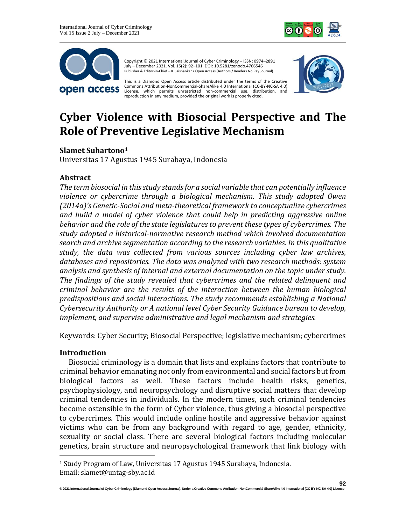



Copyright © 2021 International Journal of Cyber Criminology – ISSN: 0974–2891 July – December 2021. Vol. 15(2): 92–101. DOI: 10.5281/zenodo.4766546 Publisher & Editor-in-Chief – K. Jaishankar / Open Access (Authors / Readers No Pay Journal).

This is a Diamond Open Access article distributed under the terms of the Creative Commons Attribution-NonCommercial-ShareAlike 4.0 International (CC-BY-NC-SA 4.0) License, which permits unrestricted non-commercial use, distribution, and reproduction in any medium, provided the original work is properly cited.



# **Cyber Violence with Biosocial Perspective and The Role of Preventive Legislative Mechanism**

# **Slamet Suhartono<sup>1</sup>**

Universitas 17 Agustus 1945 Surabaya, Indonesia

# **Abstract**

*The term biosocial in thisstudy standsfor a social variable that can potentially influence violence or cybercrime through a biological mechanism. This study adopted Owen (2014a)'s Genetic-Social and meta-theoretical framework to conceptualize cybercrimes and build a model of cyber violence that could help in predicting aggressive online behavior and the role of the state legislatures to prevent these types of cybercrimes. The study adopted a historical-normative research method which involved documentation search and archive segmentation according to the research variables. In this qualitative study, the data was collected from various sources including cyber law archives, databases and repositories. The data was analyzed with two research methods: system analysis and synthesis of internal and external documentation on the topic under study. The findings of the study revealed that cybercrimes and the related delinquent and criminal behavior are the results of the interaction between the human biological predispositions and social interactions. The study recommends establishing a National Cybersecurity Authority or A national level Cyber Security Guidance bureau to develop, implement, and supervise administrative and legal mechanism and strategies.*

Keywords: Cyber Security; Biosocial Perspective; legislative mechanism; cybercrimes

#### **Introduction**

Biosocial criminology is a domain that lists and explains factors that contribute to criminal behavior emanating not only from environmental and social factors but from biological factors as well. These factors include health risks, genetics, psychophysiology, and neuropsychology and disruptive social matters that develop criminal tendencies in individuals. In the modern times, such criminal tendencies become ostensible in the form of Cyber violence, thus giving a biosocial perspective to cybercrimes. This would include online hostile and aggressive behavior against victims who can be from any background with regard to age, gender, ethnicity, sexuality or social class. There are several biological factors including molecular genetics, brain structure and neuropsychological framework that link biology with

<sup>1</sup> Study Program of Law, Universitas 17 Agustus 1945 Surabaya, Indonesia. Email: slamet@untag-sby.ac.id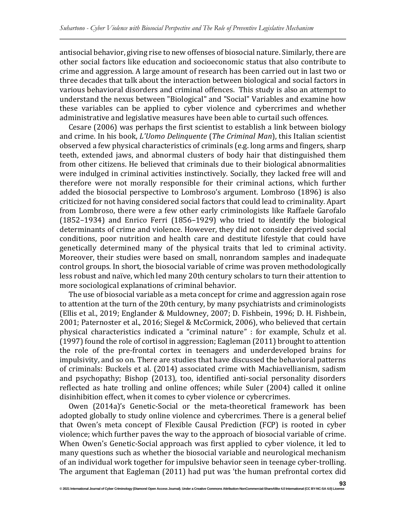antisocial behavior, giving rise to new offenses of biosocial nature.Similarly, there are other social factors like education and socioeconomic status that also contribute to crime and aggression. A large amount of research has been carried out in last two or three decades that talk about the interaction between biological and social factors in various behavioral disorders and criminal offences. This study is also an attempt to understand the nexus between "Biological" and "Social" Variables and examine how these variables can be applied to cyber violence and cybercrimes and whether administrative and legislative measures have been able to curtail such offences.

Cesare (2006) was perhaps the first scientist to establish a link between biology and crime. In his book, *L'Uomo Delinquente* (*The Criminal Man*), this Italian scientist observed a few physical characteristics of criminals (e.g. long arms and fingers, sharp teeth, extended jaws, and abnormal clusters of body hair that distinguished them from other citizens. He believed that criminals due to their biological abnormalities were indulged in criminal activities instinctively. Socially, they lacked free will and therefore were not morally responsible for their criminal actions, which further added the biosocial perspective to Lombroso's argument. Lombroso (1896) is also criticized for not having considered social factors that could lead to criminality. Apart from Lombroso, there were a few other early criminologists like Raffaele Garofalo (1852–1934) and Enrico Ferri (1856–1929) who tried to identify the biological determinants of crime and violence. However, they did not consider deprived social conditions, poor nutrition and health care and destitute lifestyle that could have genetically determined many of the physical traits that led to criminal activity. Moreover, their studies were based on small, nonrandom samples and inadequate control groups. In short, the biosocial variable of crime was proven methodologically less robust and naïve, which led many 20th century scholars to turn their attention to more sociological explanations of criminal behavior.

The use of biosocial variable as a meta concept for crime and aggression again rose to attention at the turn of the 20th century, by many psychiatrists and criminologists (Ellis et al., 2019; Englander & Muldowney, 2007; D. Fishbein, 1996; D. H. Fishbein, 2001; Paternoster et al., 2016; Siegel & McCormick, 2006), who believed that certain physical characteristics indicated a "criminal nature" : for example, Schulz et al. (1997) found the role of cortisol in aggression; Eagleman (2011) brought to attention the role of the pre-frontal cortex in teenagers and underdeveloped brains for impulsivity, and so on. There are studies that have discussed the behavioral patterns of criminals: Buckels et al. (2014) associated crime with Machiavellianism, sadism and psychopathy; Bishop (2013), too, identified anti-social personality disorders reflected as hate trolling and online offences; while Suler (2004) called it online disinhibition effect, when it comes to cyber violence or cybercrimes.

Owen (2014a)'s Genetic-Social or the meta-theoretical framework has been adopted globally to study online violence and cybercrimes. There is a general belief that Owen's meta concept of Flexible Causal Prediction (FCP) is rooted in cyber violence; which further paves the way to the approach of biosocial variable of crime. When Owen's Genetic-Social approach was first applied to cyber violence, it led to many questions such as whether the biosocial variable and neurological mechanism of an individual work together for impulsive behavior seen in teenage cyber-trolling. The argument that Eagleman (2011) had put was 'the human prefrontal cortex did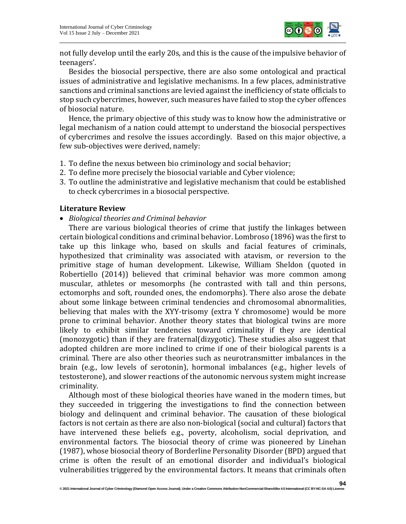

not fully develop until the early 20s, and this is the cause of the impulsive behavior of teenagers'.

Besides the biosocial perspective, there are also some ontological and practical issues of administrative and legislative mechanisms. In a few places, administrative sanctions and criminal sanctions are levied against the inefficiency of state officials to stop such cybercrimes, however, such measures have failed to stop the cyber offences of biosocial nature.

Hence, the primary objective of this study was to know how the administrative or legal mechanism of a nation could attempt to understand the biosocial perspectives of cybercrimes and resolve the issues accordingly. Based on this major objective, a few sub-objectives were derived, namely:

- 1. To define the nexus between bio criminology and social behavior;
- 2. To define more precisely the biosocial variable and Cyber violence;
- 3. To outline the administrative and legislative mechanism that could be established to check cybercrimes in a biosocial perspective.

#### **Literature Review**

• *Biological theories and Criminal behavior*

There are various biological theories of crime that justify the linkages between certain biological conditions and criminal behavior. Lombroso (1896) was the first to take up this linkage who, based on skulls and facial features of criminals, hypothesized that criminality was associated with atavism, or reversion to the primitive stage of human development. Likewise, William Sheldon (quoted in Robertiello (2014)) believed that criminal behavior was more common among muscular, athletes or mesomorphs (he contrasted with tall and thin persons, ectomorphs and soft, rounded ones, the endomorphs). There also arose the debate about some linkage between criminal tendencies and chromosomal abnormalities, believing that males with the XYY-trisomy (extra Y chromosome) would be more prone to criminal behavior. Another theory states that biological twins are more likely to exhibit similar tendencies toward criminality if they are identical (monozygotic) than if they are fraternal(dizygotic). These studies also suggest that adopted children are more inclined to crime if one of their biological parents is a criminal. There are also other theories such as neurotransmitter imbalances in the brain (e.g., low levels of serotonin), hormonal imbalances (e.g., higher levels of testosterone), and slower reactions of the autonomic nervous system might increase criminality.

Although most of these biological theories have waned in the modern times, but they succeeded in triggering the investigations to find the connection between biology and delinquent and criminal behavior. The causation of these biological factors is not certain as there are also non-biological (social and cultural) factors that have intervened these beliefs e.g., poverty, alcoholism, social deprivation, and environmental factors. The biosocial theory of crime was pioneered by Linehan (1987), whose biosocial theory of Borderline Personality Disorder (BPD) argued that crime is often the result of an emotional disorder and individual's biological vulnerabilities triggered by the environmental factors. It means that criminals often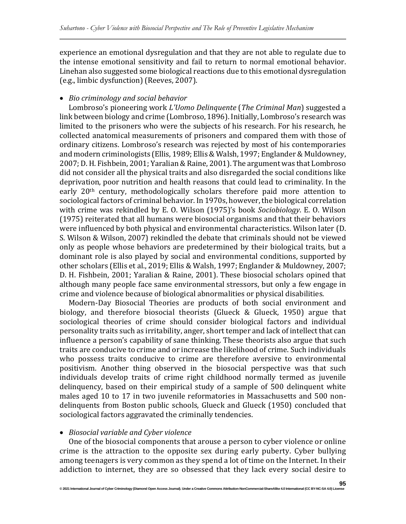experience an emotional dysregulation and that they are not able to regulate due to the intense emotional sensitivity and fail to return to normal emotional behavior. Linehan also suggested some biological reactions due to this emotional dysregulation (e.g., limbic dysfunction) (Reeves, 2007).

# • *Bio criminology and social behavior*

Lombroso's pioneering work *L'Uomo Delinquente* (*The Criminal Man*) suggested a link between biology and crime (Lombroso, 1896). Initially, Lombroso's research was limited to the prisoners who were the subjects of his research. For his research, he collected anatomical measurements of prisoners and compared them with those of ordinary citizens. Lombroso's research was rejected by most of his contemporaries and modern criminologists (Ellis, 1989; Ellis& Walsh, 1997; Englander& Muldowney, 2007; D.H. Fishbein, 2001; Yaralian&Raine, 2001). The argument was that Lombroso did not consider all the physical traits and also disregarded the social conditions like deprivation, poor nutrition and health reasons that could lead to criminality. In the early 20th century, methodologically scholars therefore paid more attention to sociological factors of criminal behavior. In 1970s, however, the biological correlation with crime was rekindled by E. O. Wilson (1975)'s book *Sociobiology*. E. O. Wilson (1975) reiterated that all humans were biosocial organisms and that their behaviors were influenced by both physical and environmental characteristics. Wilson later (D. S. Wilson & Wilson, 2007) rekindled the debate that criminals should not be viewed only as people whose behaviors are predetermined by their biological traits, but a dominant role is also played by social and environmental conditions, supported by other scholars (Ellis et al., 2019; Ellis & Walsh, 1997; Englander & Muldowney, 2007; D. H. Fishbein, 2001; Yaralian & Raine, 2001). These biosocial scholars opined that although many people face same environmental stressors, but only a few engage in crime and violence because of biological abnormalities or physical disabilities.

Modern-Day Biosocial Theories are products of both social environment and biology, and therefore biosocial theorists (Glueck & Glueck, 1950) argue that sociological theories of crime should consider biological factors and individual personality traits such as irritability, anger, short temper and lack of intellect that can influence a person's capability of sane thinking. These theorists also argue that such traits are conducive to crime and or increase the likelihood of crime. Such individuals who possess traits conducive to crime are therefore aversive to environmental positivism. Another thing observed in the biosocial perspective was that such individuals develop traits of crime right childhood normally termed as juvenile delinquency, based on their empirical study of a sample of 500 delinquent white males aged 10 to 17 in two juvenile reformatories in Massachusetts and 500 nondelinquents from Boston public schools, Glueck and Glueck (1950) concluded that sociological factors aggravated the criminally tendencies.

# • *Biosocial variable and Cyber violence*

One of the biosocial components that arouse a person to cyber violence or online crime is the attraction to the opposite sex during early puberty. Cyber bullying among teenagers is very common as they spend a lot of time on the Internet. In their addiction to internet, they are so obsessed that they lack every social desire to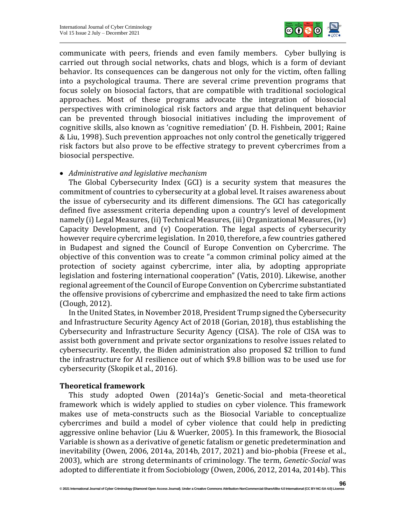

communicate with peers, friends and even family members. Cyber bullying is carried out through social networks, chats and blogs, which is a form of deviant behavior. Its consequences can be dangerous not only for the victim, often falling into a psychological trauma. There are several crime prevention programs that focus solely on biosocial factors, that are compatible with traditional sociological approaches. Most of these programs advocate the integration of biosocial perspectives with criminological risk factors and argue that delinquent behavior can be prevented through biosocial initiatives including the improvement of cognitive skills, also known as 'cognitive remediation' (D. H. Fishbein, 2001; Raine & Liu, 1998). Such prevention approaches not only control the genetically triggered risk factors but also prove to be effective strategy to prevent cybercrimes from a biosocial perspective.

#### • *Administrative and legislative mechanism*

The Global Cybersecurity Index (GCI) is a security system that measures the commitment of countries to cybersecurity at a global level. It raises awareness about the issue of cybersecurity and its different dimensions. The GCI has categorically defined five assessment criteria depending upon a country's level of development namely (i) Legal Measures, (ii) Technical Measures, (iii) Organizational Measures, (iv) Capacity Development, and (v) Cooperation. The legal aspects of cybersecurity however require cybercrime legislation. In 2010, therefore, a few countries gathered in Budapest and signed the Council of Europe Convention on Cybercrime. The objective of this convention was to create "a common criminal policy aimed at the protection of society against cybercrime, inter alia, by adopting appropriate legislation and fostering international cooperation" (Vatis, 2010). Likewise, another regional agreement of the Council of Europe Convention on Cybercrime substantiated the offensive provisions of cybercrime and emphasized the need to take firm actions (Clough, 2012).

In the United States, in November 2018, President Trump signed the Cybersecurity and Infrastructure Security Agency Act of 2018 (Gorian, 2018), thus establishing the Cybersecurity and Infrastructure Security Agency (CISA). The role of CISA was to assist both government and private sector organizations to resolve issues related to cybersecurity. Recently, the Biden administration also proposed \$2 trillion to fund the infrastructure for AI resilience out of which \$9.8 billion was to be used use for cybersecurity (Skopik et al., 2016).

# **Theoretical framework**

This study adopted Owen (2014a)'s Genetic-Social and meta-theoretical framework which is widely applied to studies on cyber violence. This framework makes use of meta-constructs such as the Biosocial Variable to conceptualize cybercrimes and build a model of cyber violence that could help in predicting aggressive online behavior (Liu & Wuerker, 2005). In this framework, the Biosocial Variable is shown as a derivative of genetic fatalism or genetic predetermination and inevitability (Owen, 2006, 2014a, 2014b, 2017, 2021) and bio-phobia (Freese et al., 2003), which are strong determinants of criminology. The term, *Genetic-Social* was adopted to differentiate it from Sociobiology (Owen, 2006, 2012, 2014a, 2014b). This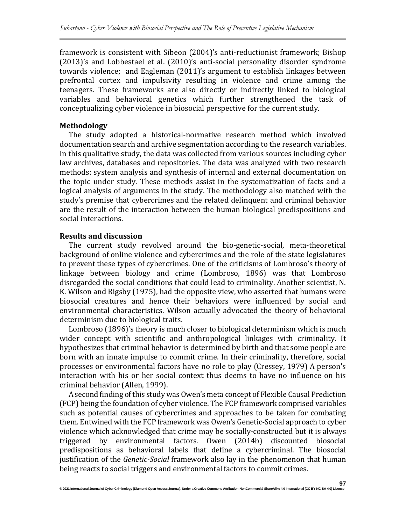framework is consistent with Sibeon (2004)'s anti-reductionist framework; Bishop (2013)'s and Lobbestael et al. (2010)'s anti-social personality disorder syndrome towards violence; and Eagleman (2011)'s argument to establish linkages between prefrontal cortex and impulsivity resulting in violence and crime among the teenagers. These frameworks are also directly or indirectly linked to biological variables and behavioral genetics which further strengthened the task of conceptualizing cyber violence in biosocial perspective for the current study.

# **Methodology**

The study adopted a historical-normative research method which involved documentation search and archive segmentation according to the research variables. In this qualitative study, the data was collected from various sources including cyber law archives, databases and repositories. The data was analyzed with two research methods: system analysis and synthesis of internal and external documentation on the topic under study. These methods assist in the systematization of facts and a logical analysis of arguments in the study. The methodology also matched with the study's premise that cybercrimes and the related delinquent and criminal behavior are the result of the interaction between the human biological predispositions and social interactions.

# **Results and discussion**

The current study revolved around the bio-genetic-social, meta-theoretical background of online violence and cybercrimes and the role of the state legislatures to prevent these types of cybercrimes. One of the criticisms of Lombroso's theory of linkage between biology and crime (Lombroso, 1896) was that Lombroso disregarded the social conditions that could lead to criminality. Another scientist, N. K. Wilson and Rigsby (1975), had the opposite view, who asserted that humans were biosocial creatures and hence their behaviors were influenced by social and environmental characteristics. Wilson actually advocated the theory of behavioral determinism due to biological traits.

Lombroso (1896)'s theory is much closer to biological determinism which is much wider concept with scientific and anthropological linkages with criminality. It hypothesizes that criminal behavior is determined by birth and that some people are born with an innate impulse to commit crime. In their criminality, therefore, social processes or environmental factors have no role to play (Cressey, 1979) A person's interaction with his or her social context thus deems to have no influence on his criminal behavior (Allen, 1999).

A second finding of this study was Owen's meta concept of Flexible Causal Prediction (FCP) being the foundation of cyber violence. The FCP framework comprised variables such as potential causes of cybercrimes and approaches to be taken for combating them. Entwined with the FCP framework was Owen's Genetic-Social approach to cyber violence which acknowledged that crime may be socially-constructed but it is always triggered by environmental factors. Owen (2014b) discounted biosocial predispositions as behavioral labels that define a cybercriminal. The biosocial justification of the *Genetic-Social* framework also lay in the phenomenon that human being reacts to social triggers and environmental factors to commit crimes.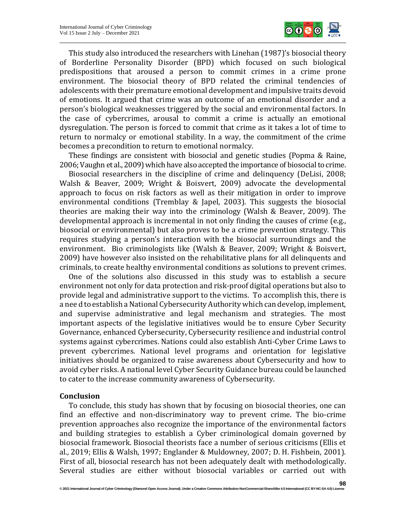

This study also introduced the researchers with Linehan (1987)'s biosocial theory of Borderline Personality Disorder (BPD) which focused on such biological predispositions that aroused a person to commit crimes in a crime prone environment. The biosocial theory of BPD related the criminal tendencies of adolescents with their premature emotional development and impulsive traits devoid of emotions. It argued that crime was an outcome of an emotional disorder and a person's biological weaknesses triggered by the social and environmental factors. In the case of cybercrimes, arousal to commit a crime is actually an emotional dysregulation. The person is forced to commit that crime as it takes a lot of time to return to normalcy or emotional stability. In a way, the commitment of the crime becomes a precondition to return to emotional normalcy.

These findings are consistent with biosocial and genetic studies (Popma & Raine, 2006; Vaughn et al., 2009) which have also accepted the importance of biosocial to crime.

Biosocial researchers in the discipline of crime and delinquency (DeLisi, 2008; Walsh & Beaver, 2009; Wright & Boisvert, 2009) advocate the developmental approach to focus on risk factors as well as their mitigation in order to improve environmental conditions (Tremblay & Japel, 2003). This suggests the biosocial theories are making their way into the criminology (Walsh & Beaver, 2009). The developmental approach is incremental in not only finding the causes of crime (e.g., biosocial or environmental) but also proves to be a crime prevention strategy. This requires studying a person's interaction with the biosocial surroundings and the environment. Bio criminologists like (Walsh & Beaver, 2009; Wright & Boisvert, 2009) have however also insisted on the rehabilitative plans for all delinquents and criminals, to create healthy environmental conditions as solutions to prevent crimes.

One of the solutions also discussed in this study was to establish a secure environment not only for data protection and risk-proof digital operations but also to provide legal and administrative support to the victims. To accomplish this, there is a nee d to establish a National Cybersecurity Authority which can develop, implement, and supervise administrative and legal mechanism and strategies. The most important aspects of the legislative initiatives would be to ensure Cyber Security Governance, enhanced Cybersecurity, Cybersecurity resilience and industrial control systems against cybercrimes. Nations could also establish Anti-Cyber Crime Laws to prevent cybercrimes. National level programs and orientation for legislative initiatives should be organized to raise awareness about Cybersecurity and how to avoid cyber risks. A national level Cyber Security Guidance bureau could be launched to cater to the increase community awareness of Cybersecurity.

#### **Conclusion**

To conclude, this study has shown that by focusing on biosocial theories, one can find an effective and non-discriminatory way to prevent crime. The bio-crime prevention approaches also recognize the importance of the environmental factors and building strategies to establish a Cyber criminological domain governed by biosocial framework. Biosocial theorists face a number of serious criticisms (Ellis et al., 2019; Ellis & Walsh, 1997; Englander & Muldowney, 2007; D. H. Fishbein, 2001). First of all, biosocial research has not been adequately dealt with methodologically. Several studies are either without biosocial variables or carried out with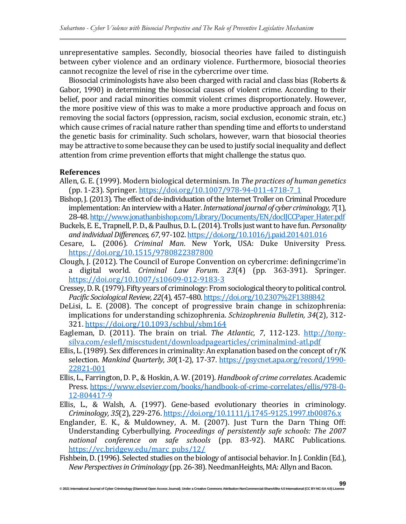unrepresentative samples. Secondly, biosocial theories have failed to distinguish between cyber violence and an ordinary violence. Furthermore, biosocial theories cannot recognize the level of rise in the cybercrime over time.

Biosocial criminologists have also been charged with racial and class bias (Roberts & Gabor, 1990) in determining the biosocial causes of violent crime. According to their belief, poor and racial minorities commit violent crimes disproportionately. However, the more positive view of this was to make a more productive approach and focus on removing the social factors (oppression, racism, social exclusion, economic strain, etc.) which cause crimes of racial nature rather than spending time and efforts to understand the genetic basis for criminality. Such scholars, however, warn that biosocial theories may be attractive to some because they can be used to justify social inequality and deflect attention from crime prevention efforts that might challenge the status quo.

# **References**

- Allen, G. E.(1999). Modern biological determinism. In *The practices of human genetics* (pp. 1-23). Springer. [https://doi.org/10.1007/978-94-011-4718-7\\_1](https://doi.org/10.1007/978-94-011-4718-7_1)
- Bishop, J. (2013). The effect of de-individuation of the Internet Troller on Criminal Procedure implementation: An interview with a Hater. *International journal of cyber criminology*, 7(1), 28-48. [http://www.jonathanbishop.com/Library/Documents/EN/docIJCCPaper\\_Hater.pdf](http://www.jonathanbishop.com/Library/Documents/EN/docIJCCPaper_Hater.pdf)
- Buckels, E. E., Trapnell, P.D.,&Paulhus,D. L.(2014). Trolls just wantto have fun. *Personality and individualDifferences, 67*, 97-102. <https://doi.org/10.1016/j.paid.2014.01.016>
- Cesare, L. (2006). *Criminal Man*. New York, USA: Duke University Press. <https://doi.org/10.1515/9780822387800>
- Clough, J. (2012). The Council of Europe Convention on cybercrime: definingcrime'in a digital world. *Criminal Law Forum. 23*(4) (pp. 363-391). Springer*.* <https://doi.org/10.1007/s10609-012-9183-3>
- Cressey, D.R. (1979). Fifty years of criminology: From sociological theory to political control. *Pacific Sociological Review, 22*(4), 457-480. <https://doi.org/10.2307%2F1388842>
- DeLisi, L. E. (2008). The concept of progressive brain change in schizophrenia: implications for understanding schizophrenia. *Schizophrenia Bulletin, 34*(2), 312- 321. <https://doi.org/10.1093/schbul/sbm164>
- Eagleman, D. (2011). The brain on trial. *The Atlantic, 7*, 112-123. [http://tony](http://tony-silva.com/eslefl/miscstudent/downloadpagearticles/criminalmind-atl.pdf)[silva.com/eslefl/miscstudent/downloadpagearticles/criminalmind-atl.pdf](http://tony-silva.com/eslefl/miscstudent/downloadpagearticles/criminalmind-atl.pdf)
- Ellis, L. (1989). Sex differences in criminality: An explanation based on the concept of  $r/K$ selection. *Mankind Quarterly, 30*(1-2), 17-37. [https://psycnet.apa.org/record/1990-](https://psycnet.apa.org/record/1990-22821-001) [22821-001](https://psycnet.apa.org/record/1990-22821-001)
- Ellis, L., Farrington, D. P.,& Hoskin, A. W.(2019). *Handbook of crime correlates*. Academic Press. [https://www.elsevier.com/books/handbook-of-crime-correlates/ellis/978-0-](https://www.elsevier.com/books/handbook-of-crime-correlates/ellis/978-0-12-804417-9) [12-804417-9](https://www.elsevier.com/books/handbook-of-crime-correlates/ellis/978-0-12-804417-9)
- Ellis, L., & Walsh, A. (1997). Gene‐based evolutionary theories in criminology. *Criminology, 35*(2), 229-276. <https://doi.org/10.1111/j.1745-9125.1997.tb00876.x>
- Englander, E. K., & Muldowney, A. M. (2007). Just Turn the Darn Thing Off: Understanding Cyberbullying. *Proceedings of persistently safe schools: The 2007 national conference on safe schools* (pp. 83-92). MARC Publications*.* [https://vc.bridgew.edu/marc\\_pubs/12/](https://vc.bridgew.edu/marc_pubs/12/)
- Fishbein, D. (1996). Selected studies on the biology of antisocial behavior. In J. Conklin (Ed.), *New Perspectives in Criminology* (pp. 26-38). NeedmanHeights, MA: Allyn and Bacon.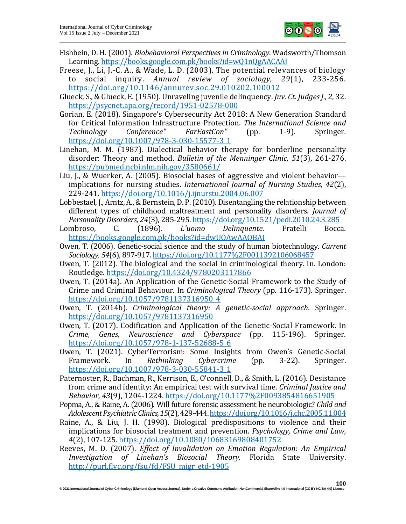

- Fishbein, D. H. (2001). *Biobehavioral Perspectives in Criminology*. Wadsworth/Thomson Learning. <https://books.google.com.pk/books?id=wQ1nQgAACAAJ>
- Freese, J., Li, J.-C. A., & Wade, L. D. (2003). The potential relevances of biology to social inquiry. *Annual review of sociology, 29*(1), 233-256. <https://doi.org/10.1146/annurev.soc.29.010202.100012>
- Glueck, S., & Glueck, E.(1950). Unraveling juvenile delinquency. *Juv. Ct. JudgesJ., 2*, 32. <https://psycnet.apa.org/record/1951-02578-000>
- Gorian, E. (2018). Singapore's Cybersecurity Act 2018: A New Generation Standard for Critical Information Infrastructure Protection. *The International Science and Technology Conference" FarEastСon"* (pp. 1-9). Springer*.* [https://doi.org/10.1007/978-3-030-15577-3\\_1](https://doi.org/10.1007/978-3-030-15577-3_1)
- Linehan, M. M. (1987). Dialectical behavior therapy for borderline personality disorder: Theory and method. *Bulletin of the Menninger Clinic, 51*(3), 261-276. <https://pubmed.ncbi.nlm.nih.gov/3580661/>
- Liu, J., & Wuerker, A. (2005). Biosocial bases of aggressive and violent behavior implications for nursing studies. *International Journal of Nursing Studies, 42*(2), 229-241. <https://doi.org/10.1016/j.ijnurstu.2004.06.007>
- Lobbestael, J., Arntz, A., & Bernstein, D. P. (2010). Disentangling the relationship between different types of childhood maltreatment and personality disorders. *Journal of Personality Disorders, 24*(3), 285-295. <https://doi.org/10.1521/pedi.2010.24.3.285>
- Lombroso, C. (1896). *L'uomo Delinquente*. Fratelli Bocca. <https://books.google.com.pk/books?id=dwUOAwAAQBAJ>
- Owen, T. (2006). Genetic-social science and the study of human biotechnology. *Current Sociology, 54*(6), 897-917. <https://doi.org/10.1177%2F0011392106068457>
- Owen, T. (2012). The biological and the social in criminological theory. In. London: Routledge. <https://doi.org/10.4324/9780203117866>
- Owen, T. (2014a). An Application of the Genetic-Social Framework to the Study of Crime and Criminal Behaviour. In *Criminological Theory* (pp. 116-173). Springer. [https://doi.org/10.1057/9781137316950\\_4](https://doi.org/10.1057/9781137316950_4)
- Owen, T. (2014b). *Criminological theory: A genetic-social approach*. Springer. <https://doi.org/10.1057/9781137316950>
- Owen, T. (2017). Codification and Application of the Genetic-Social Framework. In *Crime, Genes, Neuroscience and Cyberspace* (pp. 115-196). Springer. [https://doi.org/10.1057/978-1-137-52688-5\\_6](https://doi.org/10.1057/978-1-137-52688-5_6)
- Owen, T. (2021). CyberTerrorism: Some Insights from Owen's Genetic-Social Framework. In *Rethinking Cybercrime* (pp. 3-22). Springer. [https://doi.org/10.1007/978-3-030-55841-3\\_1](https://doi.org/10.1007/978-3-030-55841-3_1)
- Paternoster, R., Bachman, R., Kerrison, E., O'connell, D., & Smith, L. (2016). Desistance from crime and identity: An empirical test with survival time. *Criminal Justice and Behavior, 43*(9), 1204-1224. <https://doi.org/10.1177%2F0093854816651905>
- Popma, A., & Raine, A. (2006). Will future forensic assessment be neurobiologic? *Child and AdolescentPsychiatricClinics,15*(2),429-444[.https://doi.org/10.1016/j.chc.2005.11.004](https://doi.org/10.1016/j.chc.2005.11.004)
- Raine, A., & Liu, J. H. (1998). Biological predispositions to violence and their implications for biosocial treatment and prevention. *Psychology, Crime and Law, 4*(2), 107-125. <https://doi.org/10.1080/10683169808401752>
- Reeves, M. D. (2007). *Effect of Invalidation on Emotion Regulation: An Empirical Investigation of Linehan's Biosocial Theory.* Florida State University. [http://purl.flvc.org/fsu/fd/FSU\\_migr\\_etd-1905](http://purl.flvc.org/fsu/fd/FSU_migr_etd-1905)